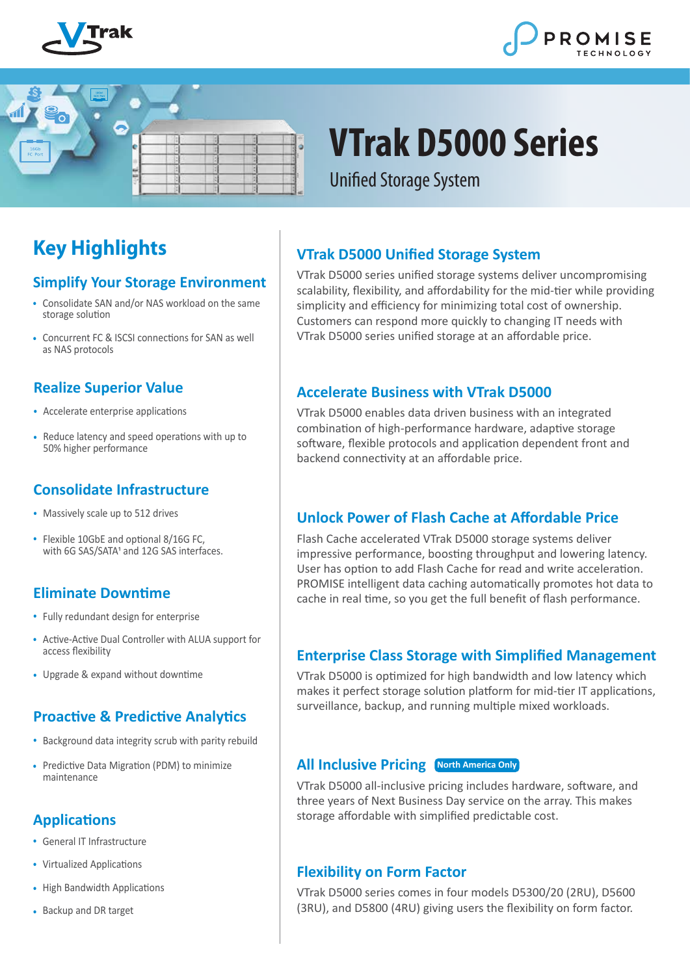





# **VTrak D5000 Series**

**Unified Storage System** 

# **Key Highlights**

#### **Simplify Your Storage Environment**

- Consolidate SAN and/or NAS workload on the same **•** storage solution
- Concurrent FC & ISCSI connections for SAN as well **•** as NAS protocols

#### **Realize Superior Value**

- Accelerate enterprise applications **•**
- Reduce latency and speed operations with up to 50% higher performance

#### **Consolidate Infrastructure**

- Massively scale up to 512 drives **•**
- **•** Flexible 10GbE and optional 8/16G FC, with 6G SAS/SATA<sup>1</sup> and 12G SAS interfaces.

# **Eliminate Downtime**

- **•** Fully redundant design for enterprise
- Active-Active Dual Controller with ALUA support for **•** access flexibility
- Upgrade & expand without downtime **•**

# **Proactive & Predictive Analytics**

- Background data integrity scrub with parity rebuild **•**
- Predictive Data Migration (PDM) to minimize **•** maintenance

# **Applications**

- General IT Infrastructure **•**
- Virtualized Applications **•**
- High Bandwidth Applications **•**
- Backup and DR target **•**

# **VTrak D5000 Unified Storage System**

VTrak D5000 series unified storage systems deliver uncompromising scalability, flexibility, and affordability for the mid-tier while providing simplicity and efficiency for minimizing total cost of ownership. Customers can respond more quickly to changing IT needs with VTrak D5000 series unified storage at an affordable price.

#### **Accelerate Business with VTrak D5000**

VTrak D5000 enables data driven business with an integrated combination of high-performance hardware, adaptive storage software, flexible protocols and application dependent front and backend connectivity at an affordable price.

# **Unlock Power of Flash Cache at Affordable Price**

Flash Cache accelerated VTrak D5000 storage systems deliver impressive performance, boosting throughput and lowering latency. User has option to add Flash Cache for read and write acceleration. PROMISE intelligent data caching automatically promotes hot data to cache in real time, so you get the full benefit of flash performance.

# **Enterprise Class Storage with Simplified Management**

VTrak D5000 is optimized for high bandwidth and low latency which makes it perfect storage solution platform for mid-tier IT applications, surveillance, backup, and running multiple mixed workloads.

#### **All Inclusive Pricing North America Only**

VTrak D5000 all-inclusive pricing includes hardware, software, and three years of Next Business Day service on the array. This makes storage affordable with simplified predictable cost.

#### **Flexibility on Form Factor**

VTrak D5000 series comes in four models D5300/20 (2RU), D5600 (3RU), and D5800 (4RU) giving users the flexibility on form factor.